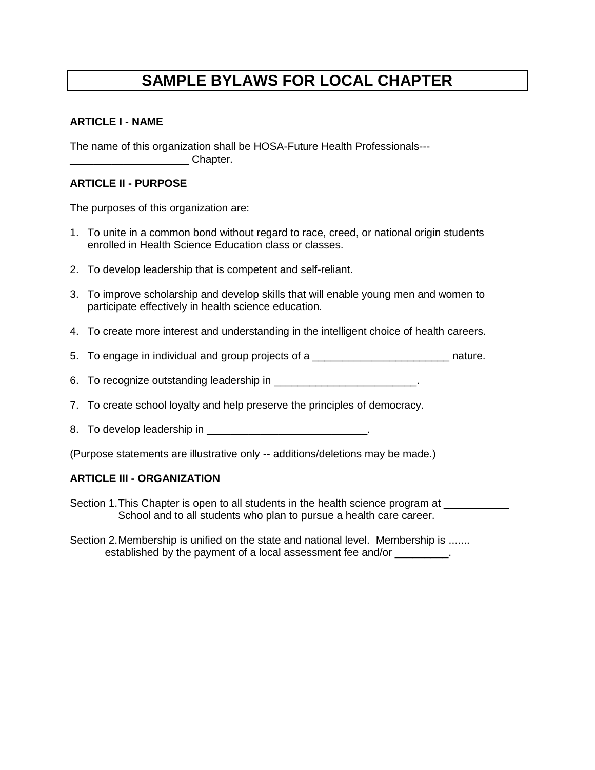# **SAMPLE BYLAWS FOR LOCAL CHAPTER**

### **ARTICLE I - NAME**

The name of this organization shall be HOSA-Future Health Professionals--- \_\_\_\_\_\_\_\_\_\_\_\_\_\_\_\_\_\_\_\_ Chapter.

### **ARTICLE II - PURPOSE**

The purposes of this organization are:

- 1. To unite in a common bond without regard to race, creed, or national origin students enrolled in Health Science Education class or classes.
- 2. To develop leadership that is competent and self-reliant.
- 3. To improve scholarship and develop skills that will enable young men and women to participate effectively in health science education.
- 4. To create more interest and understanding in the intelligent choice of health careers.
- 5. To engage in individual and group projects of a \_\_\_\_\_\_\_\_\_\_\_\_\_\_\_\_\_\_\_\_\_\_\_\_\_\_\_\_\_ nature.
- 6. To recognize outstanding leadership in  $\blacksquare$
- 7. To create school loyalty and help preserve the principles of democracy.
- 8. To develop leadership in **EXALUSE 10. 1999**
- (Purpose statements are illustrative only -- additions/deletions may be made.)

### **ARTICLE III - ORGANIZATION**

- Section 1. This Chapter is open to all students in the health science program at School and to all students who plan to pursue a health care career.
- Section 2. Membership is unified on the state and national level. Membership is ....... established by the payment of a local assessment fee and/or